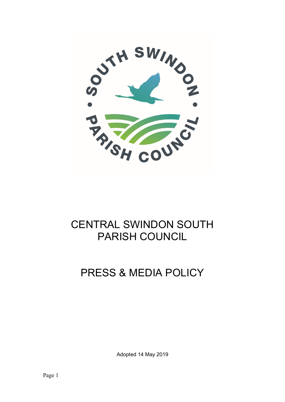

# CENTRAL SWINDON SOUTH PARISH COUNCIL

# PRESS & MEDIA POLICY

Adopted 14 May 2019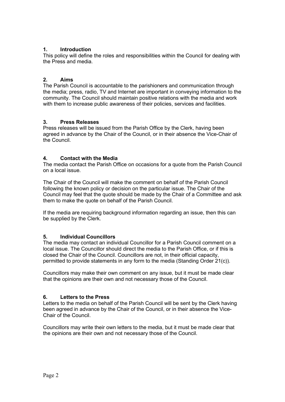# 1. Introduction

This policy will define the roles and responsibilities within the Council for dealing with the Press and media.

# 2. Aims

The Parish Council is accountable to the parishioners and communication through the media; press, radio, TV and Internet are important in conveying information to the community. The Council should maintain positive relations with the media and work with them to increase public awareness of their policies, services and facilities.

# 3. Press Releases

Press releases will be issued from the Parish Office by the Clerk, having been agreed in advance by the Chair of the Council, or in their absence the Vice-Chair of the Council.

# 4. Contact with the Media

The media contact the Parish Office on occasions for a quote from the Parish Council on a local issue.

The Chair of the Council will make the comment on behalf of the Parish Council following the known policy or decision on the particular issue. The Chair of the Council may feel that the quote should be made by the Chair of a Committee and ask them to make the quote on behalf of the Parish Council.

If the media are requiring background information regarding an issue, then this can be supplied by the Clerk.

#### 5. Individual Councillors

The media may contact an individual Councillor for a Parish Council comment on a local issue. The Councillor should direct the media to the Parish Office, or if this is closed the Chair of the Council. Councillors are not, in their official capacity, permitted to provide statements in any form to the media (Standing Order 21(c)).

Councillors may make their own comment on any issue, but it must be made clear that the opinions are their own and not necessary those of the Council.

#### 6. Letters to the Press

Letters to the media on behalf of the Parish Council will be sent by the Clerk having been agreed in advance by the Chair of the Council, or in their absence the Vice-Chair of the Council.

Councillors may write their own letters to the media, but it must be made clear that the opinions are their own and not necessary those of the Council.